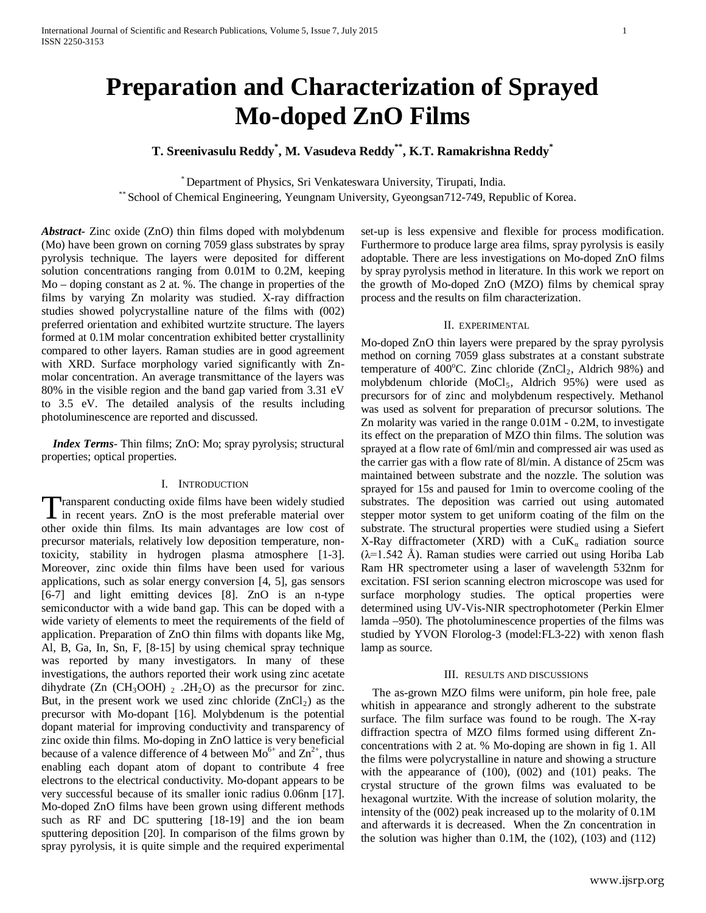# **Preparation and Characterization of Sprayed Mo-doped ZnO Films**

## **T. Sreenivasulu Reddy\* , M. Vasudeva Reddy\*\*, K.T. Ramakrishna Reddy\***

\* Department of Physics, Sri Venkateswara University, Tirupati, India. \*\* School of Chemical Engineering, Yeungnam University, Gyeongsan712-749, Republic of Korea.

*Abstract***-** Zinc oxide (ZnO) thin films doped with molybdenum (Mo) have been grown on corning 7059 glass substrates by spray pyrolysis technique. The layers were deposited for different solution concentrations ranging from 0.01M to 0.2M, keeping Mo – doping constant as 2 at. %. The change in properties of the films by varying Zn molarity was studied. X-ray diffraction studies showed polycrystalline nature of the films with (002) preferred orientation and exhibited wurtzite structure. The layers formed at 0.1M molar concentration exhibited better crystallinity compared to other layers. Raman studies are in good agreement with XRD. Surface morphology varied significantly with Znmolar concentration. An average transmittance of the layers was 80% in the visible region and the band gap varied from 3.31 eV to 3.5 eV. The detailed analysis of the results including photoluminescence are reported and discussed.

 *Index Terms*- Thin films; ZnO: Mo; spray pyrolysis; structural properties; optical properties.

## I. INTRODUCTION

ransparent conducting oxide films have been widely studied Transparent conducting oxide films have been widely studied<br>in recent years. ZnO is the most preferable material over other oxide thin films. Its main advantages are low cost of precursor materials, relatively low deposition temperature, nontoxicity, stability in hydrogen plasma atmosphere [1-3]. Moreover, zinc oxide thin films have been used for various applications, such as solar energy conversion [4, 5], gas sensors [6-7] and light emitting devices [8]. ZnO is an n-type semiconductor with a wide band gap. This can be doped with a wide variety of elements to meet the requirements of the field of application. Preparation of ZnO thin films with dopants like Mg, Al, B, Ga, In, Sn, F, [8-15] by using chemical spray technique was reported by many investigators. In many of these investigations, the authors reported their work using zinc acetate dihydrate (Zn (CH<sub>3</sub>OOH)  $_2$  .2H<sub>2</sub>O) as the precursor for zinc. But, in the present work we used zinc chloride  $(ZnCl<sub>2</sub>)$  as the precursor with Mo-dopant [16]. Molybdenum is the potential dopant material for improving conductivity and transparency of zinc oxide thin films. Mo-doping in ZnO lattice is very beneficial because of a valence difference of 4 between  $Mo^{6+}$  and  $Zn^{2+}$ , thus enabling each dopant atom of dopant to contribute 4 free electrons to the electrical conductivity. Mo-dopant appears to be very successful because of its smaller ionic radius 0.06nm [17]. Mo-doped ZnO films have been grown using different methods such as RF and DC sputtering [18-19] and the ion beam sputtering deposition [20]. In comparison of the films grown by spray pyrolysis, it is quite simple and the required experimental

set-up is less expensive and flexible for process modification. Furthermore to produce large area films, spray pyrolysis is easily adoptable. There are less investigations on Mo-doped ZnO films by spray pyrolysis method in literature. In this work we report on the growth of Mo-doped ZnO (MZO) films by chemical spray process and the results on film characterization.

### II. EXPERIMENTAL

Mo-doped ZnO thin layers were prepared by the spray pyrolysis method on corning 7059 glass substrates at a constant substrate temperature of 400°C. Zinc chloride (ZnCl<sub>2</sub>, Aldrich 98%) and molybdenum chloride (MoCl5, Aldrich 95%) were used as precursors for of zinc and molybdenum respectively. Methanol was used as solvent for preparation of precursor solutions. The Zn molarity was varied in the range 0.01M - 0.2M, to investigate its effect on the preparation of MZO thin films. The solution was sprayed at a flow rate of 6ml/min and compressed air was used as the carrier gas with a flow rate of 8l/min. A distance of 25cm was maintained between substrate and the nozzle. The solution was sprayed for 15s and paused for 1min to overcome cooling of the substrates. The deposition was carried out using automated stepper motor system to get uniform coating of the film on the substrate. The structural properties were studied using a Siefert X-Ray diffractometer (XRD) with a  $CuK_\alpha$  radiation source  $(\lambda=1.542 \text{ Å})$ . Raman studies were carried out using Horiba Lab Ram HR spectrometer using a laser of wavelength 532nm for excitation. FSI serion scanning electron microscope was used for surface morphology studies. The optical properties were determined using UV-Vis-NIR spectrophotometer (Perkin Elmer lamda –950). The photoluminescence properties of the films was studied by YVON Florolog-3 (model:FL3-22) with xenon flash lamp as source.

#### III. RESULTS AND DISCUSSIONS

 The as-grown MZO films were uniform, pin hole free, pale whitish in appearance and strongly adherent to the substrate surface. The film surface was found to be rough. The X-ray diffraction spectra of MZO films formed using different Znconcentrations with 2 at. % Mo-doping are shown in fig 1. All the films were polycrystalline in nature and showing a structure with the appearance of (100), (002) and (101) peaks. The crystal structure of the grown films was evaluated to be hexagonal wurtzite. With the increase of solution molarity, the intensity of the (002) peak increased up to the molarity of 0.1M and afterwards it is decreased. When the Zn concentration in the solution was higher than 0.1M, the (102), (103) and (112)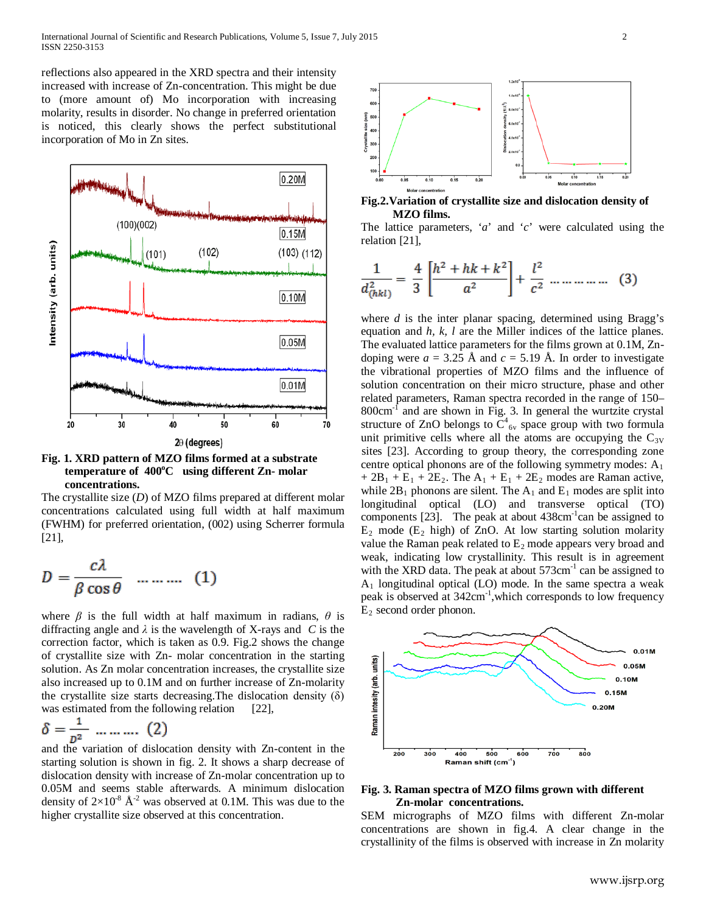reflections also appeared in the XRD spectra and their intensity increased with increase of Zn-concentration. This might be due to (more amount of) Mo incorporation with increasing molarity, results in disorder. No change in preferred orientation is noticed, this clearly shows the perfect substitutional incorporation of Mo in Zn sites.



## **Fig. 1. XRD pattern of MZO films formed at a substrate temperature of 400°C** using different Zn- molar  **concentrations.**

The crystallite size (*D*) of MZO films prepared at different molar concentrations calculated using full width at half maximum (FWHM) for preferred orientation, (002) using Scherrer formula [21],

$$
D = \frac{c\lambda}{\beta \cos \theta} \quad ....... (1)
$$

where  $\beta$  is the full width at half maximum in radians,  $\theta$  is diffracting angle and *λ* is the wavelength of X-rays and *C* is the correction factor, which is taken as 0.9. Fig.2 shows the change of crystallite size with Zn- molar concentration in the starting solution. As Zn molar concentration increases, the crystallite size also increased up to 0.1M and on further increase of Zn-molarity the crystallite size starts decreasing. The dislocation density  $(\delta)$ was estimated from the following relation [22],

$$
\delta = \frac{1}{p^2} \dots \dots \dots \tag{2}
$$

and the variation of dislocation density with Zn-content in the starting solution is shown in fig. 2. It shows a sharp decrease of dislocation density with increase of Zn-molar concentration up to 0.05M and seems stable afterwards. A minimum dislocation density of  $2\times10^{-8}$  Å<sup>-2</sup> was observed at 0.1M. This was due to the higher crystallite size observed at this concentration.



**Fig.2.Variation of crystallite size and dislocation density of MZO films.**

The lattice parameters, '*a*' and '*c*' were calculated using the relation [21],

$$
\frac{1}{d_{(hkl)}^2} = \frac{4}{3} \left[ \frac{h^2 + hk + k^2}{a^2} \right] + \frac{l^2}{c^2} \dots \dots \dots \dots \tag{3}
$$

where *d* is the inter planar spacing, determined using Bragg's equation and *h, k, l* are the Miller indices of the lattice planes. The evaluated lattice parameters for the films grown at 0.1M, Zndoping were  $a = 3.25$  Å and  $c = 5.19$  Å. In order to investigate the vibrational properties of MZO films and the influence of solution concentration on their micro structure, phase and other related parameters, Raman spectra recorded in the range of 150–  $800 \text{cm}^{-1}$  and are shown in Fig. 3. In general the wurtzite crystal structure of ZnO belongs to  $C_{6v}^4$  space group with two formula unit primitive cells where all the atoms are occupying the  $C_{3V}$ sites [23]. According to group theory, the corresponding zone centre optical phonons are of the following symmetry modes:  $A_1$  $+ 2B_1 + E_1 + 2E_2$ . The  $A_1 + E_1 + 2E_2$  modes are Raman active, while  $2B_1$  phonons are silent. The  $A_1$  and  $E_1$  modes are split into longitudinal optical (LO) and transverse optical (TO) components  $[23]$ . The peak at about  $438 \text{cm}^{-1}$ can be assigned to  $E_2$  mode ( $E_2$  high) of ZnO. At low starting solution molarity value the Raman peak related to  $E_2$  mode appears very broad and weak, indicating low crystallinity. This result is in agreement with the XRD data. The peak at about  $573 \text{cm}^{-1}$  can be assigned to  $A_1$  longitudinal optical (LO) mode. In the same spectra a weak peak is observed at 342cm<sup>-1</sup>, which corresponds to low frequency  $E_2$  second order phonon.



## **Fig. 3. Raman spectra of MZO films grown with different Zn-molar concentrations.**

SEM micrographs of MZO films with different Zn-molar concentrations are shown in fig.4. A clear change in the crystallinity of the films is observed with increase in Zn molarity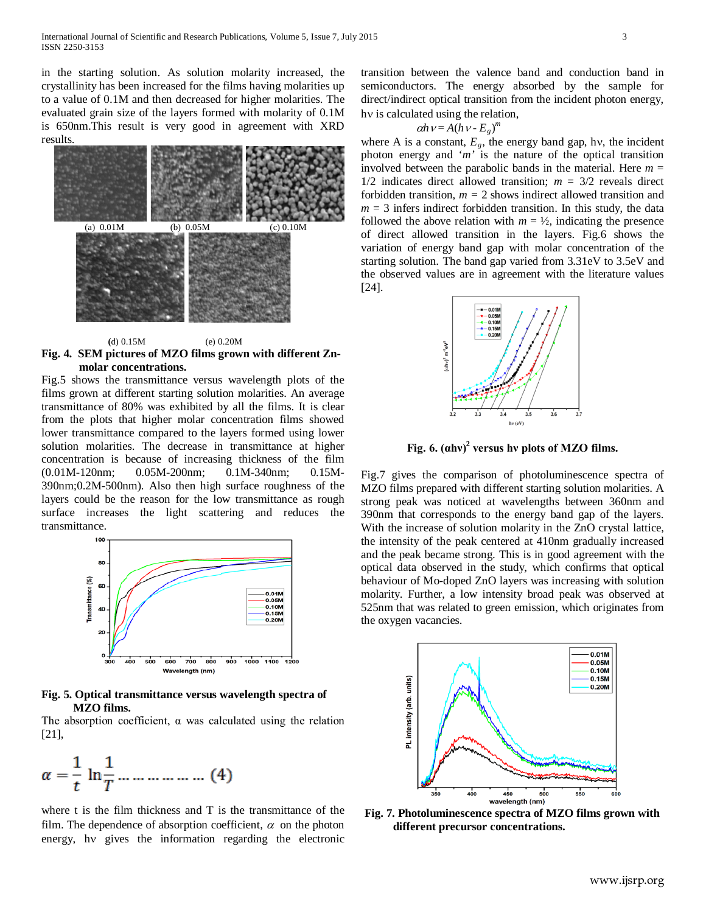in the starting solution. As solution molarity increased, the crystallinity has been increased for the films having molarities up to a value of 0.1M and then decreased for higher molarities. The evaluated grain size of the layers formed with molarity of 0.1M is 650nm.This result is very good in agreement with XRD results.



 **(**d) 0.15M (e) 0.20M **Fig. 4. SEM pictures of MZO films grown with different Zn molar concentrations.**

Fig.5 shows the transmittance versus wavelength plots of the films grown at different starting solution molarities. An average transmittance of 80% was exhibited by all the films. It is clear from the plots that higher molar concentration films showed lower transmittance compared to the layers formed using lower solution molarities. The decrease in transmittance at higher concentration is because of increasing thickness of the film (0.01M-120nm; 0.05M-200nm; 0.1M-340nm; 0.15M-390nm;0.2M-500nm). Also then high surface roughness of the layers could be the reason for the low transmittance as rough surface increases the light scattering and reduces the transmittance.



**Fig. 5. Optical transmittance versus wavelength spectra of MZO films.**

The absorption coefficient,  $\alpha$  was calculated using the relation [21],

$$
\alpha = \frac{1}{t} \ln \frac{1}{T} \dots \dots \dots \dots \dots \dots \tag{4}
$$

where t is the film thickness and T is the transmittance of the film. The dependence of absorption coefficient,  $\alpha$  on the photon energy, hν gives the information regarding the electronic transition between the valence band and conduction band in semiconductors. The energy absorbed by the sample for direct/indirect optical transition from the incident photon energy, hν is calculated using the relation,

$$
\alpha h \nu = A (h \nu - E_g)^m
$$

where A is a constant,  $E_g$ , the energy band gap, hv, the incident photon energy and '*m'* is the nature of the optical transition involved between the parabolic bands in the material. Here  $m =$  $1/2$  indicates direct allowed transition;  $m = 3/2$  reveals direct forbidden transition,  $m = 2$  shows indirect allowed transition and  $m = 3$  infers indirect forbidden transition. In this study, the data followed the above relation with  $m = \frac{1}{2}$ , indicating the presence of direct allowed transition in the layers. Fig.6 shows the variation of energy band gap with molar concentration of the starting solution. The band gap varied from 3.31eV to 3.5eV and the observed values are in agreement with the literature values [24].



**Fig. 6.**  $(ahv)^2$  versus hv plots of MZO films.

Fig.7 gives the comparison of photoluminescence spectra of MZO films prepared with different starting solution molarities. A strong peak was noticed at wavelengths between 360nm and 390nm that corresponds to the energy band gap of the layers. With the increase of solution molarity in the ZnO crystal lattice, the intensity of the peak centered at 410nm gradually increased and the peak became strong. This is in good agreement with the optical data observed in the study, which confirms that optical behaviour of Mo-doped ZnO layers was increasing with solution molarity. Further, a low intensity broad peak was observed at 525nm that was related to green emission, which originates from the oxygen vacancies.



**Fig. 7. Photoluminescence spectra of MZO films grown with different precursor concentrations.**